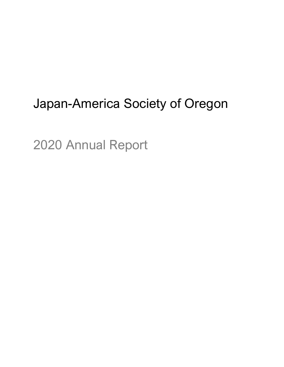# Japan-America Society of Oregon

2020 Annual Report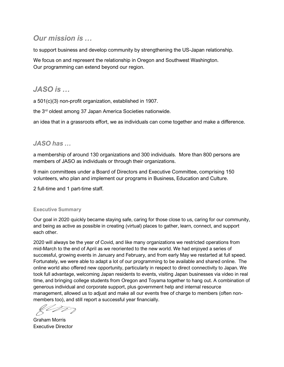# *Our mission is …*

to support business and develop community by strengthening the US-Japan relationship.

We focus on and represent the relationship in Oregon and Southwest Washington. Our programming can extend beyond our region.

# *JASO is …*

a 501(c)(3) non-profit organization, established in 1907.

the 3<sup>rd</sup> oldest among 37 Japan America Societies nationwide.

an idea that in a grassroots effort, we as individuals can come together and make a difference.

## *JASO has …*

a membership of around 130 organizations and 300 individuals. More than 800 persons are members of JASO as individuals or through their organizations.

9 main committees under a Board of Directors and Executive Committee, comprising 150 volunteers, who plan and implement our programs in Business, Education and Culture.

2 full-time and 1 part-time staff.

#### **Executive Summary**

Our goal in 2020 quickly became staying safe, caring for those close to us, caring for our community, and being as active as possible in creating (virtual) places to gather, learn, connect, and support each other.

2020 will always be the year of Covid, and like many organizations we restricted operations from mid-March to the end of April as we reoriented to the new world. We had enjoyed a series of successful, growing events in January and February, and from early May we restarted at full speed. Fortunately, we were able to adapt a lot of our programming to be available and shared online. The online world also offered new opportunity, particularly in respect to direct connectivity to Japan. We took full advantage, welcoming Japan residents to events, visiting Japan businesses via video in real time, and bringing college students from Oregon and Toyama together to hang out. A combination of generous individual and corporate support, plus government help and internal resource management, allowed us to adjust and make all our events free of charge to members (often nonmembers too), and still report a successful year financially.

 $\ell\nu\overline{\nu}$ 

Graham Morris Executive Director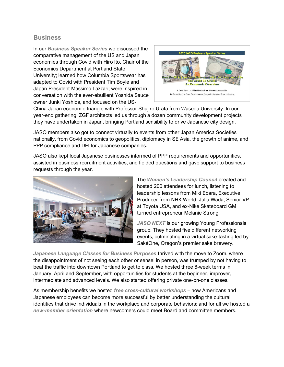#### **Business**

In our *Business Speaker Series* we discussed the comparative management of the US and Japan economies through Covid with Hiro Ito, Chair of the Economics Department at Portland State University; learned how Columbia Sportswear has adapted to Covid with President Tim Boyle and Japan President Massimo Lazzari; were inspired in conversation with the ever-ebullient Yoshida Sauce owner Junki Yoshida, and focused on the US-



China-Japan economic triangle with Professor Shujiro Urata from Waseda University. In our year-end gathering, ZGF architects led us through a dozen community development projects they have undertaken in Japan, bringing Portland sensibility to drive Japanese city design.

JASO members also got to connect virtually to events from other Japan America Societies nationally, from Covid economics to geopolitics, diplomacy in SE Asia, the growth of anime, and PPP compliance and DEI for Japanese companies.

JASO also kept local Japanese businesses informed of PPP requirements and opportunities, assisted in business recruitment activities, and fielded questions and gave support to business requests through the year.



The *Women's Leadership Council* created and hosted 200 attendees for lunch, listening to leadership lessons from Miki Ebara, Executive Producer from NHK World, Julia Wada, Senior VP at Toyota USA, and ex-Nike Skateboard GM turned entrepreneur Melanie Strong.

*JASO NEXT* is our growing Young Professionals group. They hosted five different networking events, culminating in a virtual sake-tasting led by SakéOne, Oregon's premier sake brewery.

*Japanese Language Classes for Business Purposes* thrived with the move to Zoom, where the disappointment of not seeing each other or sensei in person, was trumped by not having to beat the traffic into downtown Portland to get to class. We hosted three 8-week terms in January, April and September, with opportunities for students at the beginner, improver, intermediate and advanced levels. We also started offering private one-on-one classes.

As membership benefits we hosted *free cross-cultural workshops* – how Americans and Japanese employees can become more successful by better understanding the cultural identities that drive individuals in the workplace and corporate behaviors; and for all we hosted a *new-member orientation* where newcomers could meet Board and committee members.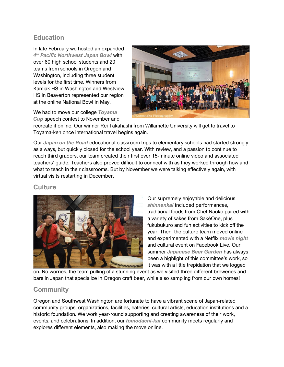## **Education**

In late February we hosted an expanded *4 th Pacific Northwest Japan Bowl* with over 60 high school students and 20 teams from schools in Oregon and Washington, including three student levels for the first time. Winners from Kamiak HS in Washington and Westview HS in Beaverton represented our region at the online National Bowl in May.

We had to move our college *Toyama Cup* speech contest to November and



recreate it online. Our winner Rei Takahashi from Willamette University will get to travel to Toyama-ken once international travel begins again.

Our *Japan on the Road* educational classroom trips to elementary schools had started strongly as always, but quickly closed for the school year. With review, and a passion to continue to reach third graders, our team created their first ever 15-minute online video and associated teachers' guide. Teachers also proved difficult to connect with as they worked through how and what to teach in their classrooms. But by November we were talking effectively again, with virtual visits restarting in December.

## **Culture**



Our supremely enjoyable and delicious *shinnenkai* included performances, traditional foods from Chef Naoko paired with a variety of sakes from SakéOne, plus fukubukuro and fun activities to kick off the year. Then, the culture team moved online and experimented with a Netflix *movie night* and cultural event on Facebook Live. Our summer *Japanese Beer Garden* has always been a highlight of this committee's work, so it was with a little trepidation that we logged

on. No worries, the team pulling of a stunning event as we visited three different breweries and bars in Japan that specialize in Oregon craft beer, while also sampling from our own homes!

## **Community**

Oregon and Southwest Washington are fortunate to have a vibrant scene of Japan-related community groups, organizations, facilities, eateries, cultural artists, education institutions and a historic foundation. We work year-round supporting and creating awareness of their work, events, and celebrations. In addition, our *tomodachi-kai* community meets regularly and explores different elements, also making the move online.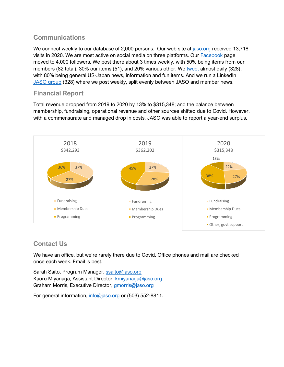## **Communications**

We connect weekly to our database of 2,000 persons. Our web site at [jaso.org](http://www.jaso.org/) received 13,718 visits in 2020. We are most active on social media on three platforms. Our [Facebook](http://www.facebook.com/jaso202) page moved to 4,000 followers. We post there about 3 times weekly, with 50% being items from our members (82 total), 30% our items (51), and 20% various other. We [tweet](http://www.twitter.com/@JASO_Latest) almost daily (328), with 80% being general US-Japan news, information and fun items. And we run a LinkedIn [JASO group](https://www.linkedin.com/groups/160230/) (328) where we post weekly, split evenly between JASO and member news.

## **Financial Report**

Total revenue dropped from 2019 to 2020 by 13% to \$315,348; and the balance between membership, fundraising, operational revenue and other sources shifted due to Covid. However, with a commensurate and managed drop in costs, JASO was able to report a year-end surplus.



## **Contact Us**

We have an office, but we're rarely there due to Covid. Office phones and mail are checked once each week. Email is best.

Sarah Saito, Program Manager, [ssaito@jaso.org](mailto:ssaito@jaso.org) Kaoru Miyanaga, Assistant Director, [kmiyanaga@jaso.org](mailto:kmiyanaga@jaso.org) Graham Morris, Executive Director, [gmorris@jaso.org](mailto:gmorris@jaso.org)

For general information, [info@jaso.org](mailto:info@jaso.org) or (503) 552-8811.